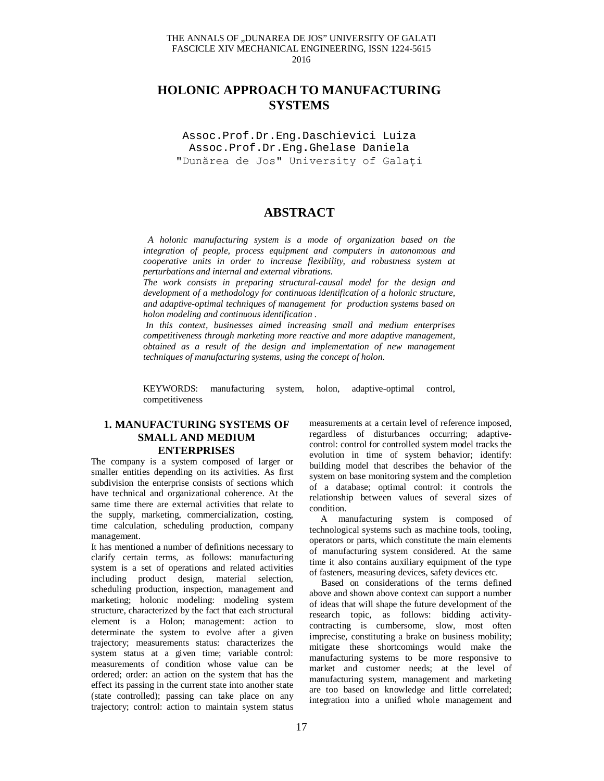#### THE ANNALS OF "DUNAREA DE JOS" UNIVERSITY OF GALATI FASCICLE XIV MECHANICAL ENGINEERING, ISSN 1224-5615 2016

# **HOLONIC APPROACH TO MANUFACTURING SYSTEMS**

Assoc.Prof.Dr.Eng.Daschievici Luiza Assoc.Prof.Dr.Eng**.**Ghelase Daniela "Dunărea de Jos" University of Galați

## **ABSTRACT**

*A holonic manufacturing system is a mode of organization based on the integration of people, process equipment and computers in autonomous and cooperative units in order to increase flexibility, and robustness system at perturbations and internal and external vibrations.*

*The work consists in preparing structural-causal model for the design and development of a methodology for continuous identification of a holonic structure, and adaptive-optimal techniques of management for production systems based on holon modeling and continuous identification .*

*In this context, businesses aimed increasing small and medium enterprises competitiveness through marketing more reactive and more adaptive management, obtained as a result of the design and implementation of new management techniques of manufacturing systems, using the concept of holon.*

KEYWORDS: manufacturing system, holon, adaptive-optimal control, competitiveness

## **1. MANUFACTURING SYSTEMS OF SMALL AND MEDIUM ENTERPRISES**

The company is a system composed of larger or smaller entities depending on its activities. As first subdivision the enterprise consists of sections which have technical and organizational coherence. At the same time there are external activities that relate to the supply, marketing, commercialization, costing, time calculation, scheduling production, company management.

It has mentioned a number of definitions necessary to clarify certain terms, as follows: manufacturing system is a set of operations and related activities including product design, material selection, scheduling production, inspection, management and marketing; holonic modeling: modeling system structure, characterized by the fact that each structural element is a Holon; management: action to determinate the system to evolve after a given trajectory; measurements status: characterizes the system status at a given time; variable control: measurements of condition whose value can be ordered; order: an action on the system that has the effect its passing in the current state into another state (state controlled); passing can take place on any trajectory; control: action to maintain system status

measurements at a certain level of reference imposed, regardless of disturbances occurring; adaptivecontrol: control for controlled system model tracks the evolution in time of system behavior; identify: building model that describes the behavior of the system on base monitoring system and the completion of a database; optimal control: it controls the relationship between values of several sizes of condition.

 A manufacturing system is composed of technological systems such as machine tools, tooling, operators or parts, which constitute the main elements of manufacturing system considered. At the same time it also contains auxiliary equipment of the type of fasteners, measuring devices, safety devices etc.

 Based on considerations of the terms defined above and shown above context can support a number of ideas that will shape the future development of the research topic, as follows: bidding activitycontracting is cumbersome, slow, most often imprecise, constituting a brake on business mobility; mitigate these shortcomings would make the manufacturing systems to be more responsive to market and customer needs; at the level of manufacturing system, management and marketing are too based on knowledge and little correlated; integration into a unified whole management and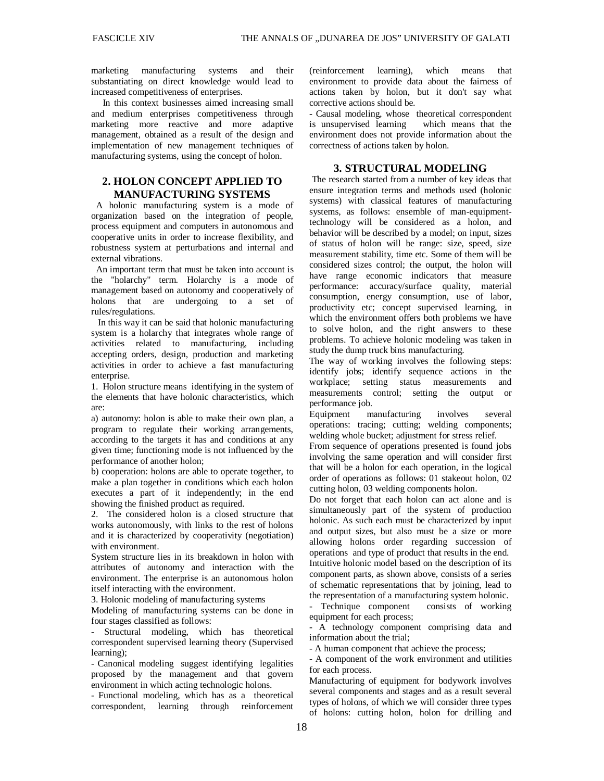marketing manufacturing systems and their substantiating on direct knowledge would lead to increased competitiveness of enterprises.

 In this context businesses aimed increasing small and medium enterprises competitiveness through marketing more reactive and more adaptive management, obtained as a result of the design and implementation of new management techniques of manufacturing systems, using the concept of holon.

## **2. HOLON CONCEPT APPLIED TO MANUFACTURING SYSTEMS**

A holonic manufacturing system is a mode of organization based on the integration of people, process equipment and computers in autonomous and cooperative units in order to increase flexibility, and robustness system at perturbations and internal and external vibrations.

 An important term that must be taken into account is the "holarchy" term. Holarchy is a mode of management based on autonomy and cooperatively of holons that are undergoing to a set of rules/regulations.

 In this way it can be said that holonic manufacturing system is a holarchy that integrates whole range of activities related to manufacturing, including accepting orders, design, production and marketing activities in order to achieve a fast manufacturing enterprise.

1. Holon structure means identifying in the system of the elements that have holonic characteristics, which are:

a) autonomy: holon is able to make their own plan, a program to regulate their working arrangements, according to the targets it has and conditions at any given time; functioning mode is not influenced by the performance of another holon;

b) cooperation: holons are able to operate together, to make a plan together in conditions which each holon executes a part of it independently; in the end showing the finished product as required.

2. The considered holon is a closed structure that works autonomously, with links to the rest of holons and it is characterized by cooperativity (negotiation) with environment.

System structure lies in its breakdown in holon with attributes of autonomy and interaction with the environment. The enterprise is an autonomous holon itself interacting with the environment.

3. Holonic modeling of manufacturing systems

Modeling of manufacturing systems can be done in four stages classified as follows:

- Structural modeling, which has theoretical correspondent supervised learning theory (Supervised learning);

- Canonical modeling suggest identifying legalities proposed by the management and that govern environment in which acting technologic holons.

- Functional modeling, which has as a theoretical correspondent, learning through reinforcement

(reinforcement learning), which means that environment to provide data about the fairness of actions taken by holon, but it don't say what corrective actions should be.

- Causal modeling, whose theoretical correspondent is unsupervised learning which means that the environment does not provide information about the correctness of actions taken by holon.

### **3. STRUCTURAL MODELING**

The research started from a number of key ideas that ensure integration terms and methods used (holonic systems) with classical features of manufacturing systems, as follows: ensemble of man-equipmenttechnology will be considered as a holon, and behavior will be described by a model; on input, sizes of status of holon will be range: size, speed, size measurement stability, time etc. Some of them will be considered sizes control; the output, the holon will have range economic indicators that measure performance: accuracy/surface quality, material consumption, energy consumption, use of labor, productivity etc; concept supervised learning, in which the environment offers both problems we have to solve holon, and the right answers to these problems. To achieve holonic modeling was taken in study the dump truck bins manufacturing.

The way of working involves the following steps: identify jobs; identify sequence actions in the workplace; setting status measurements and measurements control; setting the output or performance job.

Equipment manufacturing involves several operations: tracing; cutting; welding components; welding whole bucket; adjustment for stress relief.

From sequence of operations presented is found jobs involving the same operation and will consider first that will be a holon for each operation, in the logical order of operations as follows: 01 stakeout holon, 02 cutting holon, 03 welding components holon.

Do not forget that each holon can act alone and is simultaneously part of the system of production holonic. As such each must be characterized by input and output sizes, but also must be a size or more allowing holons order regarding succession of operations and type of product that results in the end. Intuitive holonic model based on the description of its component parts, as shown above, consists of a series of schematic representations that by joining, lead to the representation of a manufacturing system holonic.

- Technique component consists of working equipment for each process;

- A technology component comprising data and information about the trial;

- A human component that achieve the process;

- A component of the work environment and utilities for each process.

Manufacturing of equipment for bodywork involves several components and stages and as a result several types of holons, of which we will consider three types of holons: cutting holon, holon for drilling and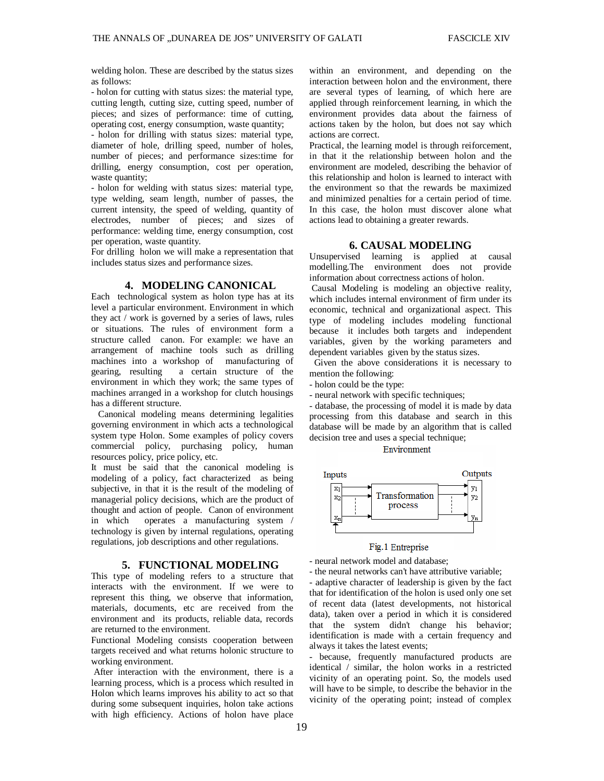welding holon. These are described by the status sizes as follows:

- holon for cutting with status sizes: the material type, cutting length, cutting size, cutting speed, number of pieces; and sizes of performance: time of cutting, operating cost, energy consumption, waste quantity;

- holon for drilling with status sizes: material type, diameter of hole, drilling speed, number of holes, number of pieces; and performance sizes:time for drilling, energy consumption, cost per operation, waste quantity;

- holon for welding with status sizes: material type, type welding, seam length, number of passes, the current intensity, the speed of welding, quantity of electrodes, number of pieces; and sizes of performance: welding time, energy consumption, cost per operation, waste quantity.

For drilling holon we will make a representation that includes status sizes and performance sizes.

#### **4. MODELING CANONICAL**

Each technological system as holon type has at its level a particular environment. Environment in which they act / work is governed by a series of laws, rules or situations. The rules of environment form a structure called canon. For example: we have an arrangement of machine tools such as drilling machines into a workshop of manufacturing of gearing, resulting a certain structure of the environment in which they work; the same types of machines arranged in a workshop for clutch housings has a different structure.

 Canonical modeling means determining legalities governing environment in which acts a technological system type Holon. Some examples of policy covers commercial policy, purchasing policy, human resources policy, price policy, etc.

It must be said that the canonical modeling is modeling of a policy, fact characterized as being subjective, in that it is the result of the modeling of managerial policy decisions, which are the product of thought and action of people. Canon of environment in which operates a manufacturing system / technology is given by internal regulations, operating regulations, job descriptions and other regulations.

#### **5. FUNCTIONAL MODELING**

This type of modeling refers to a structure that interacts with the environment. If we were to represent this thing, we observe that information, materials, documents, etc are received from the environment and its products, reliable data, records are returned to the environment.

Functional Modeling consists cooperation between targets received and what returns holonic structure to working environment.

After interaction with the environment, there is a learning process, which is a process which resulted in Holon which learns improves his ability to act so that during some subsequent inquiries, holon take actions with high efficiency. Actions of holon have place

within an environment, and depending on the interaction between holon and the environment, there are several types of learning, of which here are applied through reinforcement learning, in which the environment provides data about the fairness of actions taken by the holon, but does not say which actions are correct.

Practical, the learning model is through reiforcement, in that it the relationship between holon and the environment are modeled, describing the behavior of this relationship and holon is learned to interact with the environment so that the rewards be maximized and minimized penalties for a certain period of time. In this case, the holon must discover alone what actions lead to obtaining a greater rewards.

#### **6. CAUSAL MODELING**

Unsupervised learning is applied at causal modelling.The environment does not provide information about correctness actions of holon.

Causal Modeling is modeling an objective reality, which includes internal environment of firm under its economic, technical and organizational aspect. This type of modeling includes modeling functional because it includes both targets and independent variables, given by the working parameters and dependent variables given by the status sizes.

 Given the above considerations it is necessary to mention the following:

- holon could be the type:

- neural network with specific techniques;

- database, the processing of model it is made by data processing from this database and search in this database will be made by an algorithm that is called decision tree and uses a special technique;

Environment



#### Fig.1 Entreprise

- neural network model and database;

- the neural networks can't have attributive variable;

- adaptive character of leadership is given by the fact that for identification of the holon is used only one set of recent data (latest developments, not historical data), taken over a period in which it is considered that the system didn't change his behavior; identification is made with a certain frequency and always it takes the latest events;

- because, frequently manufactured products are identical / similar, the holon works in a restricted vicinity of an operating point. So, the models used will have to be simple, to describe the behavior in the vicinity of the operating point; instead of complex